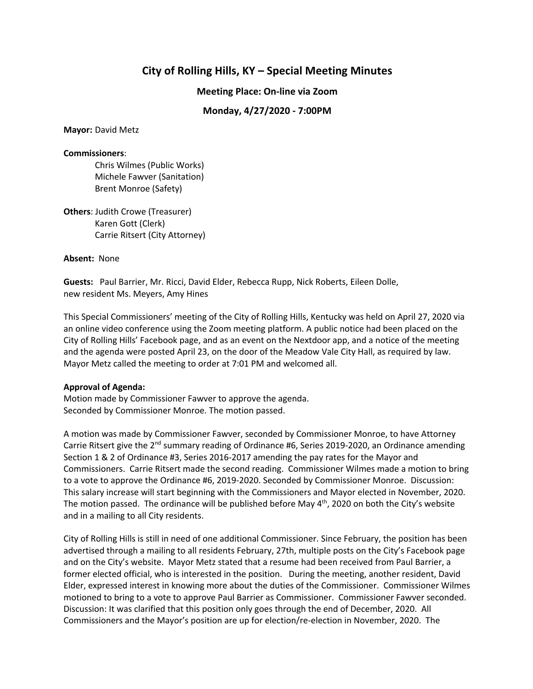# **City of Rolling Hills, KY – Special Meeting Minutes**

**Meeting Place: On-line via Zoom**

# **Monday, 4/27/2020 - 7:00PM**

**Mayor:** David Metz

#### **Commissioners**:

Chris Wilmes (Public Works) Michele Fawver (Sanitation) Brent Monroe (Safety)

**Others**: Judith Crowe (Treasurer) Karen Gott (Clerk) Carrie Ritsert (City Attorney)

### **Absent:** None

**Guests:** Paul Barrier, Mr. Ricci, David Elder, Rebecca Rupp, Nick Roberts, Eileen Dolle, new resident Ms. Meyers, Amy Hines

This Special Commissioners' meeting of the City of Rolling Hills, Kentucky was held on April 27, 2020 via an online video conference using the Zoom meeting platform. A public notice had been placed on the City of Rolling Hills' Facebook page, and as an event on the Nextdoor app, and a notice of the meeting and the agenda were posted April 23, on the door of the Meadow Vale City Hall, as required by law. Mayor Metz called the meeting to order at 7:01 PM and welcomed all.

## **Approval of Agenda:**

Motion made by Commissioner Fawver to approve the agenda. Seconded by Commissioner Monroe. The motion passed.

A motion was made by Commissioner Fawver, seconded by Commissioner Monroe, to have Attorney Carrie Ritsert give the 2<sup>nd</sup> summary reading of Ordinance #6, Series 2019-2020, an Ordinance amending Section 1 & 2 of Ordinance #3, Series 2016-2017 amending the pay rates for the Mayor and Commissioners. Carrie Ritsert made the second reading. Commissioner Wilmes made a motion to bring to a vote to approve the Ordinance #6, 2019-2020. Seconded by Commissioner Monroe. Discussion: This salary increase will start beginning with the Commissioners and Mayor elected in November, 2020. The motion passed. The ordinance will be published before May 4<sup>th</sup>, 2020 on both the City's website and in a mailing to all City residents.

City of Rolling Hills is still in need of one additional Commissioner. Since February, the position has been advertised through a mailing to all residents February, 27th, multiple posts on the City's Facebook page and on the City's website. Mayor Metz stated that a resume had been received from Paul Barrier, a former elected official, who is interested in the position. During the meeting, another resident, David Elder, expressed interest in knowing more about the duties of the Commissioner. Commissioner Wilmes motioned to bring to a vote to approve Paul Barrier as Commissioner. Commissioner Fawver seconded. Discussion: It was clarified that this position only goes through the end of December, 2020. All Commissioners and the Mayor's position are up for election/re-election in November, 2020. The